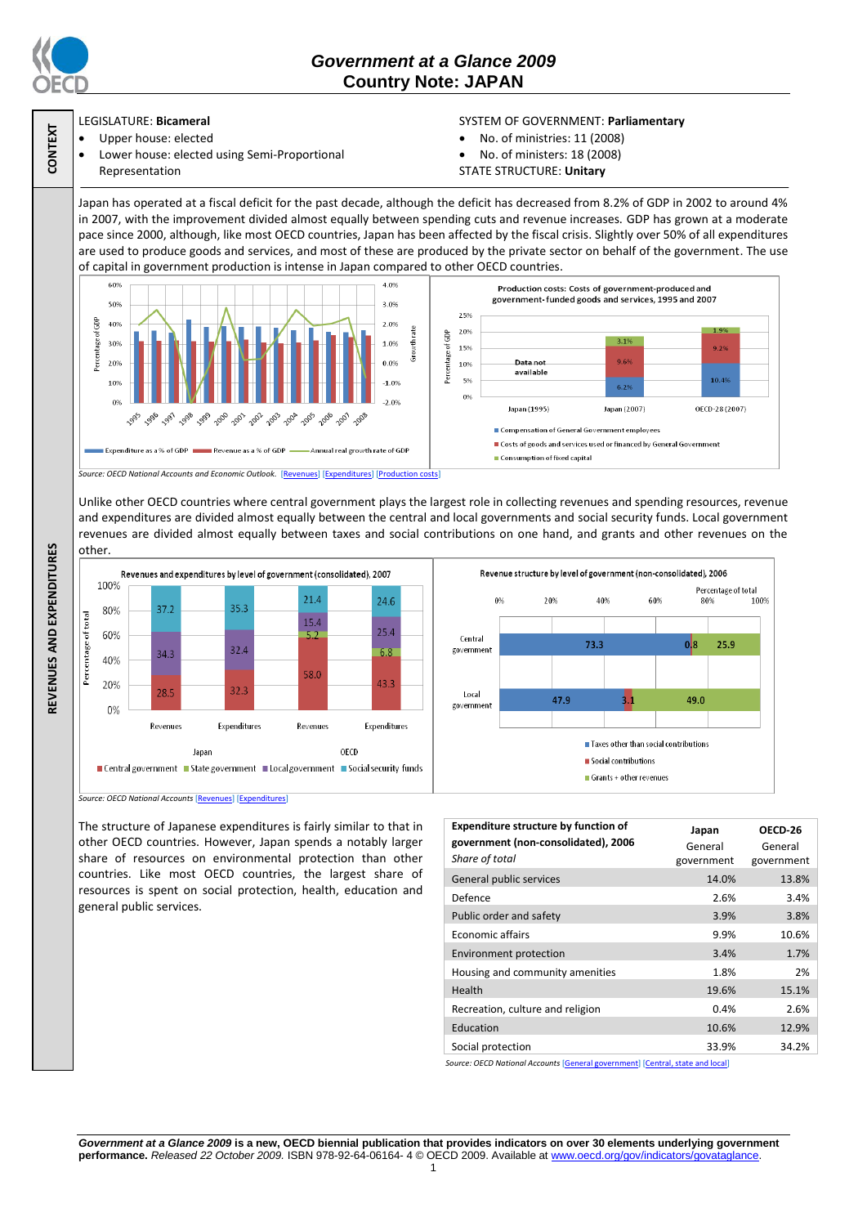

**CONTEXT**

**REVENUES AND EXPENDITURES**

REVENUES AND EXPENDITURES

## *Government at a Glance 2009*  **Country Note: JAPAN**

## LEGISLATURE: **Bicameral**

- Upper house: elected
- Lower house: elected using Semi-Proportional Representation

## SYSTEM OF GOVERNMENT: **Parliamentary**

- No. of ministries: 11 (2008)
- No. of ministers: 18 (2008)
- STATE STRUCTURE: **Unitary**

Japan has operated at a fiscal deficit for the past decade, although the deficit has decreased from 8.2% of GDP in 2002 to around 4% in 2007, with the improvement divided almost equally between spending cuts and revenue increases. GDP has grown at a moderate pace since 2000, although, like most OECD countries, Japan has been affected by the fiscal crisis. Slightly over 50% of all expenditures are used to produce goods and services, and most of these are produced by the private sector on behalf of the government. The use of capital in government production is intense in Japan compared to other OECD countries.



Unlike other OECD countries where central government plays the largest role in collecting revenues and spending resources, revenue and expenditures are divided almost equally between the central and local governments and social security funds. Local government revenues are divided almost equally between taxes and social contributions on one hand, and grants and other revenues on the other.



*Source: OECD National Accounts* [\[Revenues\]](http://dx.doi.org/10.1787/723418413857) [\[Expenditures\]](http://dx.doi.org/10.1787/723508524025)

The structure of Japanese expenditures is fairly similar to that in other OECD countries. However, Japan spends a notably larger share of resources on environmental protection than other countries. Like most OECD countries, the largest share of resources is spent on social protection, health, education and general public services.

| <b>Expenditure structure by function of</b><br>government (non-consolidated), 2006<br>Share of total | Japan<br>General<br>government | OECD-26<br>General<br>government |
|------------------------------------------------------------------------------------------------------|--------------------------------|----------------------------------|
| General public services                                                                              | 14.0%                          | 13.8%                            |
| Defence                                                                                              | 2.6%                           | 3.4%                             |
| Public order and safety                                                                              | 3.9%                           | 3.8%                             |
| Economic affairs                                                                                     | 9.9%                           | 10.6%                            |
| <b>Environment protection</b>                                                                        | 3.4%                           | 1.7%                             |
| Housing and community amenities                                                                      | 1.8%                           | 2%                               |
| Health                                                                                               | 19.6%                          | 15.1%                            |
| Recreation, culture and religion                                                                     | 0.4%                           | 2.6%                             |
| Education                                                                                            | 10.6%                          | 12.9%                            |
| Social protection                                                                                    | 33.9%                          | 34.2%                            |

*Source: OECD National Accounts* [\[General government\]](http://dx.doi.org/10.1787/723501646741) [\[Central, state and local\]](http://dx.doi.org/10.1787/723508524025)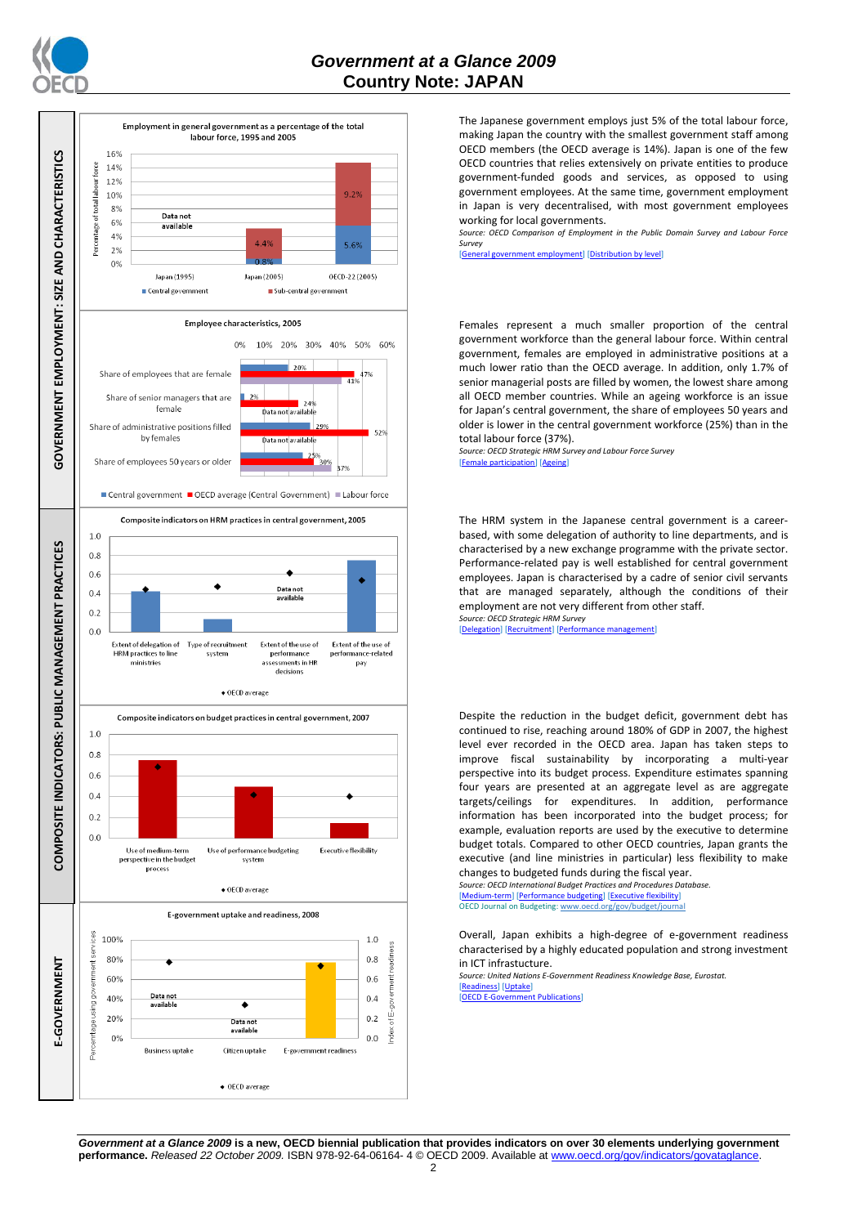



The Japanese government employs just 5% of the total labour force, making Japan the country with the smallest government staff among OECD members (the OECD average is 14%). Japan is one of the few OECD countries that relies extensively on private entities to produce government-funded goods and services, as opposed to using government employees. At the same time, government employment in Japan is very decentralised, with most government employees working for local governments.

*Source: OECD Comparison of Employment in the Public Domain Survey and Labour Force Survey*

ployment] [\[Distribution by level\]](http://dx.doi.org/10.1787/723627140760)

Females represent a much smaller proportion of the central government workforce than the general labour force. Within central government, females are employed in administrative positions at a much lower ratio than the OECD average. In addition, only 1.7% of senior managerial posts are filled by women, the lowest share among all OECD member countries. While an ageing workforce is an issue for Japan's central government, the share of employees 50 years and older is lower in the central government workforce (25%) than in the total labour force (37%).

*Source: OECD Strategic HRM Survey and Labour Force Survey* [\[Female participation\]](http://dx.doi.org/10.1787/723642841533) [\[Ageing\]](http://dx.doi.org/10.1787/723656070327)

The HRM system in the Japanese central government is a careerbased, with some delegation of authority to line departments, and is characterised by a new exchange programme with the private sector. Performance-related pay is well established for central government employees. Japan is characterised by a cadre of senior civil servants that are managed separately, although the conditions of their employment are not very different from other staff. *Source: OECD Strategic HRM Survey* 

[\[Delegation\]](http://dx.doi.org/10.1787/723663744332) [\[Recruitment\]](http://dx.doi.org/10.1787/723668744361) [Performance]

Despite the reduction in the budget deficit, government debt has continued to rise, reaching around 180% of GDP in 2007, the highest level ever recorded in the OECD area. Japan has taken steps to improve fiscal sustainability by incorporating a multi-year perspective into its budget process. Expenditure estimates spanning four years are presented at an aggregate level as are aggregate targets/ceilings for expenditures. In addition, performance information has been incorporated into the budget process; for example, evaluation reports are used by the executive to determine budget totals. Compared to other OECD countries, Japan grants the executive (and line ministries in particular) less flexibility to make changes to budgeted funds during the fiscal year.

*Source: OECD International Budget Practices and Procedures Database.* m-term] [\[Performance budgeting\]](http://dx.doi.org/10.1787/723863437686) [\[Executive flexibility\]](http://dx.doi.org/10.1787/723876713213) OECD Journal on Budgeting[: www.oecd.org/gov/budget/journal](http://www.oecd.org/gov/budget/journal)

Overall, Japan exhibits a high-degree of e-government readiness characterised by a highly educated population and strong investment in ICT infrastucture.

*Source: United Nations E-Government Readiness Knowledge Base, Eurostat.* [\[Readiness\]](http://dx.doi.org/10.1787/724248078408) [\[Uptake\]](http://dx.doi.org/10.1787/724264662272) [OECD E-Government

*Government at a Glance 2009* **is a new, OECD biennial publication that provides indicators on over 30 elements underlying government performance.** *Released 22 October 2009.* ISBN 978-92-64-06164-4 © OECD 2009. Available at www.oecd.org/gov/indicators/govat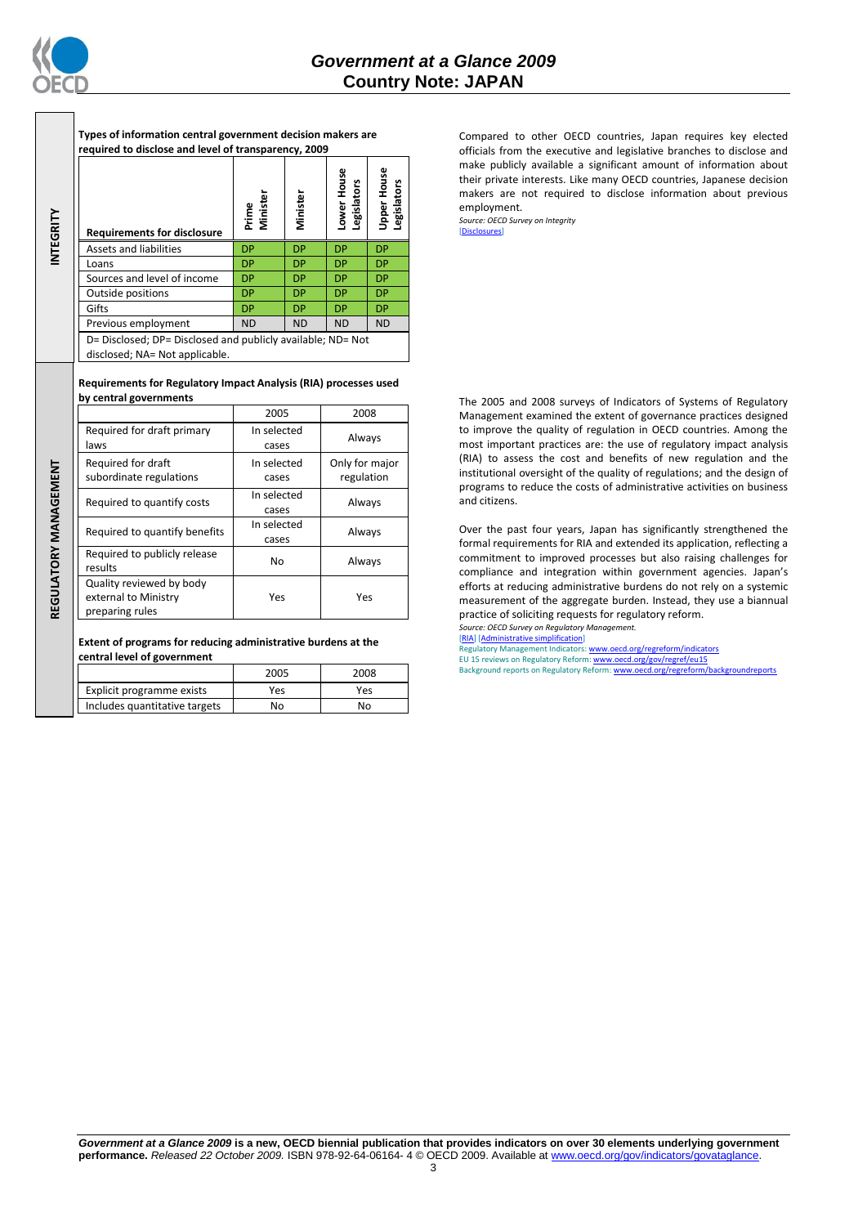

**INTEGRITY**

**Types of information central government decision makers are required to disclose and level of transparency, 2009**

| <b>Requirements for disclosure</b>                                                            | Prime<br>Minister | Minister  | ower House<br>gislators<br>ு | <b>Jpper House</b><br><b>Legislators</b> |
|-----------------------------------------------------------------------------------------------|-------------------|-----------|------------------------------|------------------------------------------|
| Assets and liabilities                                                                        | <b>DP</b>         | <b>DP</b> | <b>DP</b>                    | <b>DP</b>                                |
| Loans                                                                                         | <b>DP</b>         | <b>DP</b> | <b>DP</b>                    | <b>DP</b>                                |
| Sources and level of income                                                                   | <b>DP</b>         | <b>DP</b> | <b>DP</b>                    | <b>DP</b>                                |
| Outside positions                                                                             | <b>DP</b>         | <b>DP</b> | <b>DP</b>                    | <b>DP</b>                                |
| Gifts                                                                                         | <b>DP</b>         | <b>DP</b> | <b>DP</b>                    | <b>DP</b>                                |
| Previous employment                                                                           | <b>ND</b>         | <b>ND</b> | <b>ND</b>                    | <b>ND</b>                                |
| D= Disclosed; DP= Disclosed and publicly available; ND= Not<br>disclosed; NA= Not applicable. |                   |           |                              |                                          |

**Requirements for Regulatory Impact Analysis (RIA) processes used by central governments**

|                                                                     | 2005                 | 2008                         |
|---------------------------------------------------------------------|----------------------|------------------------------|
| Required for draft primary<br>laws                                  | In selected<br>cases | Always                       |
| Required for draft<br>subordinate regulations                       | In selected<br>cases | Only for major<br>regulation |
| Required to quantify costs                                          | In selected<br>cases | Always                       |
| Required to quantify benefits                                       | In selected<br>cases | Always                       |
| Required to publicly release<br>results                             | N <sub>0</sub>       | Always                       |
| Quality reviewed by body<br>external to Ministry<br>preparing rules | Yes                  | Yes                          |

**Extent of programs for reducing administrative burdens at the central level of government**

|                               | 2005 | 2008 |
|-------------------------------|------|------|
| Explicit programme exists     | Yes  | Yes  |
| Includes quantitative targets | No   | N٥   |

Compared to other OECD countries, Japan requires key elected officials from the executive and legislative branches to disclose and make publicly available a significant amount of information about their private interests. Like many OECD countries, Japanese decision makers are not required to disclose information about previous employment.

*Source: OECD Survey on Integrity* [\[Disclosures\]](http://dx.doi.org/10.1787/724123642681)

The 2005 and 2008 surveys of Indicators of Systems of Regulatory Management examined the extent of governance practices designed to improve the quality of regulation in OECD countries. Among the most important practices are: the use of regulatory impact analysis (RIA) to assess the cost and benefits of new regulation and the institutional oversight of the quality of regulations; and the design of programs to reduce the costs of administrative activities on business and citizens.

Over the past four years, Japan has significantly strengthened the formal requirements for RIA and extended its application, reflecting a commitment to improved processes but also raising challenges for compliance and integration within government agencies. Japan's efforts at reducing administrative burdens do not rely on a systemic measurement of the aggregate burden. Instead, they use a biannual practice of soliciting requests for regulatory reform. *Source: OECD Survey on Regulatory Management.*

[\[RIA\]](http://dx.doi.org/10.1787/724045144354) [\[Administrative simplification\]](http://dx.doi.org/10.1787/724058851054)

Intery Management Indicators: www.oecd.org/regrefor EU 15 reviews on Regulatory Reform: <u>www.oecd.org/gov/regref/eu15</u><br>Background reports on Regulatory Reform: <u>www.oecd.org/regreform/backgroundreports</u>

REGULATORY MANAGEMENT **REGULATORY MANAGEMENT**